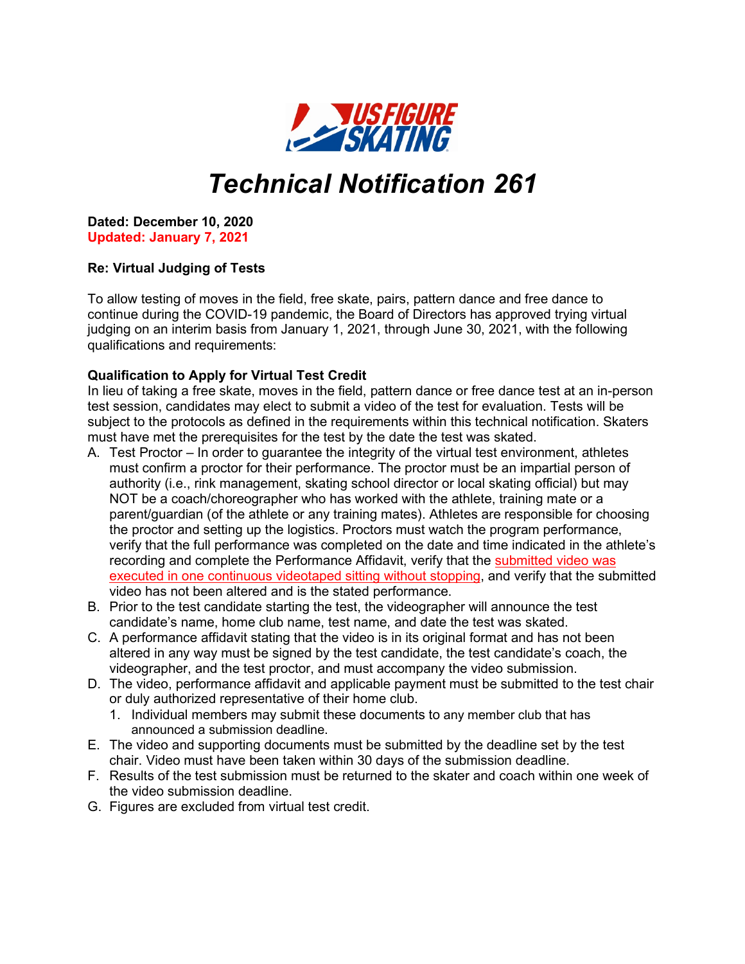

## *Technical Notification 261*

**Dated: December 10, 2020 Updated: January 7, 2021**

## **Re: Virtual Judging of Tests**

To allow testing of moves in the field, free skate, pairs, pattern dance and free dance to continue during the COVID-19 pandemic, the Board of Directors has approved trying virtual judging on an interim basis from January 1, 2021, through June 30, 2021, with the following qualifications and requirements:

## **Qualification to Apply for Virtual Test Credit**

In lieu of taking a free skate, moves in the field, pattern dance or free dance test at an in-person test session, candidates may elect to submit a video of the test for evaluation. Tests will be subject to the protocols as defined in the requirements within this technical notification. Skaters must have met the prerequisites for the test by the date the test was skated.

- A. Test Proctor In order to guarantee the integrity of the virtual test environment, athletes must confirm a proctor for their performance. The proctor must be an impartial person of authority (i.e., rink management, skating school director or local skating official) but may NOT be a coach/choreographer who has worked with the athlete, training mate or a parent/guardian (of the athlete or any training mates). Athletes are responsible for choosing the proctor and setting up the logistics. Proctors must watch the program performance, verify that the full performance was completed on the date and time indicated in the athlete's recording and complete the Performance Affidavit, verify that the submitted video was executed in one continuous videotaped sitting without stopping, and verify that the submitted video has not been altered and is the stated performance.
- B. Prior to the test candidate starting the test, the videographer will announce the test candidate's name, home club name, test name, and date the test was skated.
- C. A performance affidavit stating that the video is in its original format and has not been altered in any way must be signed by the test candidate, the test candidate's coach, the videographer, and the test proctor, and must accompany the video submission.
- D. The video, performance affidavit and applicable payment must be submitted to the test chair or duly authorized representative of their home club.
	- 1. Individual members may submit these documents to any member club that has announced a submission deadline.
- E. The video and supporting documents must be submitted by the deadline set by the test chair. Video must have been taken within 30 days of the submission deadline.
- F. Results of the test submission must be returned to the skater and coach within one week of the video submission deadline.
- G. Figures are excluded from virtual test credit.